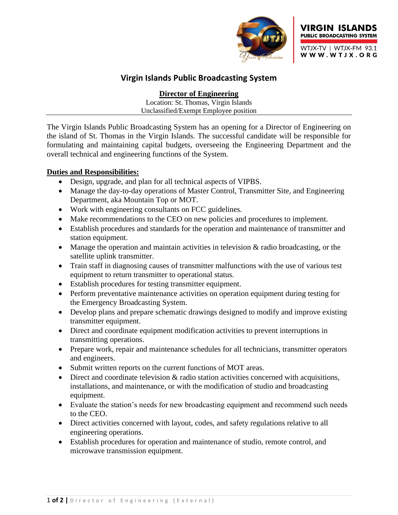



# **Virgin Islands Public Broadcasting System**

**Director of Engineering**

Location: St. Thomas, Virgin Islands Unclassified/Exempt Employee position

The Virgin Islands Public Broadcasting System has an opening for a Director of Engineering on the island of St. Thomas in the Virgin Islands. The successful candidate will be responsible for formulating and maintaining capital budgets, overseeing the Engineering Department and the overall technical and engineering functions of the System.

### **Duties and Responsibilities:**

- Design, upgrade, and plan for all technical aspects of VIPBS.
- Manage the day-to-day operations of Master Control, Transmitter Site, and Engineering Department, aka Mountain Top or MOT.
- Work with engineering consultants on FCC guidelines.
- Make recommendations to the CEO on new policies and procedures to implement.
- Establish procedures and standards for the operation and maintenance of transmitter and station equipment.
- Manage the operation and maintain activities in television & radio broadcasting, or the satellite uplink transmitter.
- Train staff in diagnosing causes of transmitter malfunctions with the use of various test equipment to return transmitter to operational status.
- Establish procedures for testing transmitter equipment.
- Perform preventative maintenance activities on operation equipment during testing for the Emergency Broadcasting System.
- Develop plans and prepare schematic drawings designed to modify and improve existing transmitter equipment.
- Direct and coordinate equipment modification activities to prevent interruptions in transmitting operations.
- Prepare work, repair and maintenance schedules for all technicians, transmitter operators and engineers.
- Submit written reports on the current functions of MOT areas.
- Direct and coordinate television  $\&$  radio station activities concerned with acquisitions, installations, and maintenance, or with the modification of studio and broadcasting equipment.
- Evaluate the station's needs for new broadcasting equipment and recommend such needs to the CEO.
- Direct activities concerned with layout, codes, and safety regulations relative to all engineering operations.
- Establish procedures for operation and maintenance of studio, remote control, and microwave transmission equipment.